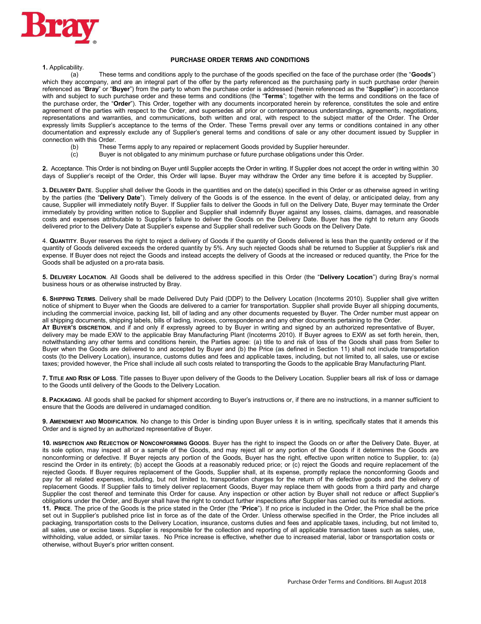

## **1.** Applicability.

## **PURCHASE ORDER TERMS AND CONDITIONS**

(a) These terms and conditions apply to the purchase of the goods specified on the face of the purchase order (the "**Goods**") which they accompany, and are an integral part of the offer by the party referenced as the purchasing party in such purchase order (herein referenced as "**Bray**" or "**Buyer**") from the party to whom the purchase order is addressed (herein referenced as the "**Supplier**") in accordance with and subject to such purchase order and these terms and conditions (the "**Terms**"; together with the terms and conditions on the face of the purchase order, the "**Order**"). This Order, together with any documents incorporated herein by reference, constitutes the sole and entire agreement of the parties with respect to the Order, and supersedes all prior or contemporaneous understandings, agreements, negotiations, representations and warranties, and communications, both written and oral, with respect to the subject matter of the Order. The Order expressly limits Supplier's acceptance to the terms of the Order. These Terms prevail over any terms or conditions contained in any other documentation and expressly exclude any of Supplier's general terms and conditions of sale or any other document issued by Supplier in connection with this Order.

- (b) These Terms apply to any repaired or replacement Goods provided by Supplier hereunder.<br>(c) Buyer is not obligated to any minimum purchase or future purchase obligations under this C
- Buyer is not obligated to any minimum purchase or future purchase obligations under this Order.

2. Acceptance. This Order is not binding on Buyer until Supplier accepts the Order in writing. If Supplier does not accept the order in writing within 30 days of Supplier's receipt of the Order, this Order will lapse. Buyer may withdraw the Order any time before it is accepted by Supplier.

**3. DELIVERY DATE**. Supplier shall deliver the Goods in the quantities and on the date(s) specified in this Order or as otherwise agreed in writing by the parties (the "**Delivery Date**"). Timely delivery of the Goods is of the essence. In the event of delay, or anticipated delay, from any cause, Supplier will immediately notify Buyer. If Supplier fails to deliver the Goods in full on the Delivery Date, Buyer may terminate the Order immediately by providing written notice to Supplier and Supplier shall indemnify Buyer against any losses, claims, damages, and reasonable costs and expenses attributable to Supplier's failure to deliver the Goods on the Delivery Date. Buyer has the right to return any Goods delivered prior to the Delivery Date at Supplier's expense and Supplier shall redeliver such Goods on the Delivery Date.

4. **QUANTITY**. Buyer reserves the right to reject a delivery of Goods if the quantity of Goods delivered is less than the quantity ordered or if the quantity of Goods delivered exceeds the ordered quantity by 5%. Any such rejected Goods shall be returned to Supplier at Supplier's risk and expense. If Buyer does not reject the Goods and instead accepts the delivery of Goods at the increased or reduced quantity, the Price for the Goods shall be adjusted on a pro-rata basis.

**5. DELIVERY LOCATION**. All Goods shall be delivered to the address specified in this Order (the "**Delivery Location**") during Bray's normal business hours or as otherwise instructed by Bray.

**6. SHIPPING TERMS**. Delivery shall be made Delivered Duty Paid (DDP) to the Delivery Location (Incoterms 2010). Supplier shall give written notice of shipment to Buyer when the Goods are delivered to a carrier for transportation. Supplier shall provide Buyer all shipping documents, including the commercial invoice, packing list, bill of lading and any other documents requested by Buyer. The Order number must appear on all shipping documents, shipping labels, bills of lading, invoices, correspondence and any other documents pertaining to the Order. **AT BUYER'S DISCRETION**, and if and only if expressly agreed to by Buyer in writing and signed by an authorized representative of Buyer, delivery may be made EXW to the applicable Bray Manufacturing Plant (Incoterms 2010). If Buyer agrees to EXW as set forth herein, then, notwithstanding any other terms and conditions herein, the Parties agree: (a) title to and risk of loss of the Goods shall pass from Seller to Buyer when the Goods are delivered to and accepted by Buyer and (b) the Price (as defined in Section 11) shall not include transportation costs (to the Delivery Location), insurance, customs duties and fees and applicable taxes, including, but not limited to, all sales, use or excise taxes; provided however, the Price shall include all such costs related to transporting the Goods to the applicable Bray Manufacturing Plant.

**7. TITLE AND RISK OF LOSS**. Title passes to Buyer upon delivery of the Goods to the Delivery Location. Supplier bears all risk of loss or damage to the Goods until delivery of the Goods to the Delivery Location.

**8. PACKAGING**. All goods shall be packed for shipment according to Buyer's instructions or, if there are no instructions, in a manner sufficient to ensure that the Goods are delivered in undamaged condition.

**9. AMENDMENT AND MODIFICATION**. No change to this Order is binding upon Buyer unless it is in writing, specifically states that it amends this Order and is signed by an authorized representative of Buyer.

**10. INSPECTION AND REJECTION OF NONCONFORMING GOODS**. Buyer has the right to inspect the Goods on or after the Delivery Date. Buyer, at its sole option, may inspect all or a sample of the Goods, and may reject all or any portion of the Goods if it determines the Goods are nonconforming or defective. If Buyer rejects any portion of the Goods, Buyer has the right, effective upon written notice to Supplier, to: (a) rescind the Order in its entirety; (b) accept the Goods at a reasonably reduced price; or (c) reject the Goods and require replacement of the rejected Goods. If Buyer requires replacement of the Goods, Supplier shall, at its expense, promptly replace the nonconforming Goods and pay for all related expenses, including, but not limited to, transportation charges for the return of the defective goods and the delivery of replacement Goods. If Supplier fails to timely deliver replacement Goods, Buyer may replace them with goods from a third party and charge Supplier the cost thereof and terminate this Order for cause. Any inspection or other action by Buyer shall not reduce or affect Supplier's obligations under the Order, and Buyer shall have the right to conduct further inspections after Supplier has carried out its remedial actions.

**11. PRICE**. The price of the Goods is the price stated in the Order (the "**Price**"). If no price is included in the Order, the Price shall be the price set out in Supplier's published price list in force as of the date of the Order. Unless otherwise specified in the Order, the Price includes all packaging, transportation costs to the Delivery Location, insurance, customs duties and fees and applicable taxes, including, but not limited to, all sales, use or excise taxes. Supplier is responsible for the collection and reporting of all applicable transaction taxes such as sales, use, withholding, value added, or similar taxes. No Price increase is effective, whether due to increased material, labor or transportation costs or otherwise, without Buyer's prior written consent.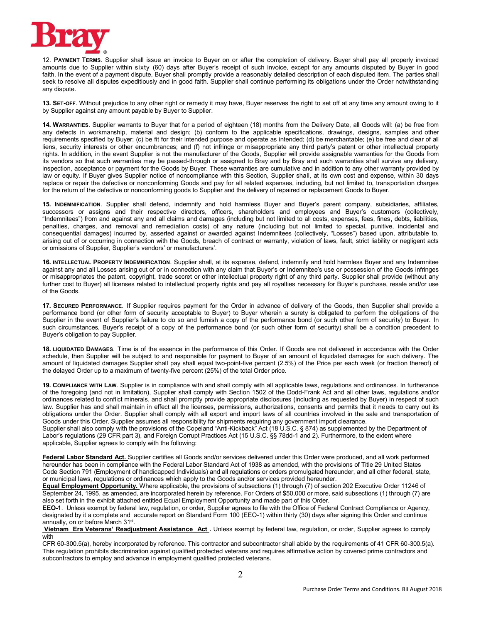

12. **PAYMENT TERMS**. Supplier shall issue an invoice to Buyer on or after the completion of delivery. Buyer shall pay all properly invoiced amounts due to Supplier within sixty (60) days after Buyer's receipt of such invoice, except for any amounts disputed by Buyer in good faith. In the event of a payment dispute, Buyer shall promptly provide a reasonably detailed description of each disputed item. The parties shall seek to resolve all disputes expeditiously and in good faith. Supplier shall continue performing its obligations under the Order notwithstanding any dispute.

**13. SET-OFF**. Without prejudice to any other right or remedy it may have, Buyer reserves the right to set off at any time any amount owing to it by Supplier against any amount payable by Buyer to Supplier.

**14. WARRANTIES**. Supplier warrants to Buyer that for a period of eighteen (18) months from the Delivery Date, all Goods will: (a) be free from any defects in workmanship, material and design; (b) conform to the applicable specifications, drawings, designs, samples and other requirements specified by Buyer; (c) be fit for their intended purpose and operate as intended; (d) be merchantable; (e) be free and clear of all liens, security interests or other encumbrances; and (f) not infringe or misappropriate any third party's patent or other intellectual property rights. In addition, in the event Supplier is not the manufacturer of the Goods, Supplier will provide assignable warranties for the Goods from its vendors so that such warranties may be passed-through or assigned to Bray and by Bray and such warranties shall survive any delivery, inspection, acceptance or payment for the Goods by Buyer. These warranties are cumulative and in addition to any other warranty provided by law or equity. If Buyer gives Supplier notice of noncompliance with this Section, Supplier shall, at its own cost and expense, within 30 days replace or repair the defective or nonconforming Goods and pay for all related expenses, including, but not limited to, transportation charges for the return of the defective or nonconforming goods to Supplier and the delivery of repaired or replacement Goods to Buyer.

**15. INDEMNIFICATION**. Supplier shall defend, indemnify and hold harmless Buyer and Buyer's parent company, subsidiaries, affiliates, successors or assigns and their respective directors, officers, shareholders and employees and Buyer's customers (collectively, "Indemnitees") from and against any and all claims and damages (including but not limited to all costs, expenses, fees, fines, debts, liabilities, penalties, charges, and removal and remediation costs) of any nature (including but not limited to special, punitive, incidental and consequential damages) incurred by, asserted against or awarded against Indemnitees (collectively, "Losses") based upon, attributable to, arising out of or occurring in connection with the Goods, breach of contract or warranty, violation of laws, fault, strict liability or negligent acts or omissions of Supplier, Supplier's vendors' or manufacturers'.

**16. INTELLECTUAL PROPERTY INDEMNIFICATION**. Supplier shall, at its expense, defend, indemnify and hold harmless Buyer and any Indemnitee against any and all Losses arising out of or in connection with any claim that Buyer's or Indemnitee's use or possession of the Goods infringes or misappropriates the patent, copyright, trade secret or other intellectual property right of any third party. Supplier shall provide (without any further cost to Buyer) all licenses related to intellectual property rights and pay all royalties necessary for Buyer's purchase, resale and/or use of the Goods.

**17. SECURED PERFORMANCE**. If Supplier requires payment for the Order in advance of delivery of the Goods, then Supplier shall provide a performance bond (or other form of security acceptable to Buyer) to Buyer wherein a surety is obligated to perform the obligations of the Supplier in the event of Supplier's failure to do so and furnish a copy of the performance bond (or such other form of security) to Buyer. In such circumstances, Buyer's receipt of a copy of the performance bond (or such other form of security) shall be a condition precedent to Buyer's obligation to pay Supplier.

**18. LIQUIDATED DAMAGES**. Time is of the essence in the performance of this Order. If Goods are not delivered in accordance with the Order schedule, then Supplier will be subject to and responsible for payment to Buyer of an amount of liquidated damages for such delivery. The amount of liquidated damages Supplier shall pay shall equal two-point-five percent (2.5%) of the Price per each week (or fraction thereof) of the delayed Order up to a maximum of twenty-five percent (25%) of the total Order price.

**19. COMPLIANCE WITH LAW**. Supplier is in compliance with and shall comply with all applicable laws, regulations and ordinances. In furtherance of the foregoing (and not in limitation), Supplier shall comply with Section 1502 of the Dodd-Frank Act and all other laws, regulations and/or ordinances related to conflict minerals, and shall promptly provide appropriate disclosures (including as requested by Buyer) in respect of such law. Supplier has and shall maintain in effect all the licenses, permissions, authorizations, consents and permits that it needs to carry out its obligations under the Order. Supplier shall comply with all export and import laws of all countries involved in the sale and transportation of Goods under this Order. Supplier assumes all responsibility for shipments requiring any government import clearance.

Supplier shall also comply with the provisions of the Copeland "Anti-Kickback" Act (18 U.S.C. § 874) as supplemented by the Department of Labor's regulations (29 CFR part 3), and Foreign Corrupt Practices Act (15 U.S.C. §§ 78dd-1 and 2). Furthermore, to the extent where applicable, Supplier agrees to comply with the following:

**Federal Labor Standard Act.** Supplier certifies all Goods and/or services delivered under this Order were produced, and all work performed hereunder has been in compliance with the Federal Labor Standard Act of 1938 as amended, with the provisions of Title 29 United States Code Section 791 (Employment of handicapped Individuals) and all regulations or orders promulgated hereunder, and all other federal, state, or municipal laws, regulations or ordinances which apply to the Goods and/or services provided hereunder.

**Equal Employment Opportunity.** Where applicable, the provisions of subsections (1) through (7) of section 202 Executive Order 11246 of September 24, 1995, as amended, are incorporated herein by reference. For Orders of \$50,000 or more, said subsections (1) through (7) are also set forth in the exhibit attached entitled Equal Employment Opportunity and made part of this Order.

**EEO-1**. Unless exempt by federal law, regulation, or order, Supplier agrees to file with the Office of Federal Contract Compliance or Agency, designated by it a complete and accurate report on Standard Form 100 (EEO-1) within thirty (30) days after signing this Order and continue annually, on or before March 31st.

**Vietnam Era Veterans' Readjustment Assistance Act .** Unless exempt by federal law, regulation, or order, Supplier agrees to comply with

CFR 60-300.5(a), hereby incorporated by reference. This contractor and subcontractor shall abide by the requirements of 41 CFR 60-300.5(a). This regulation prohibits discrimination against qualified protected veterans and requires affirmative action by covered prime contractors and subcontractors to employ and advance in employment qualified protected veterans.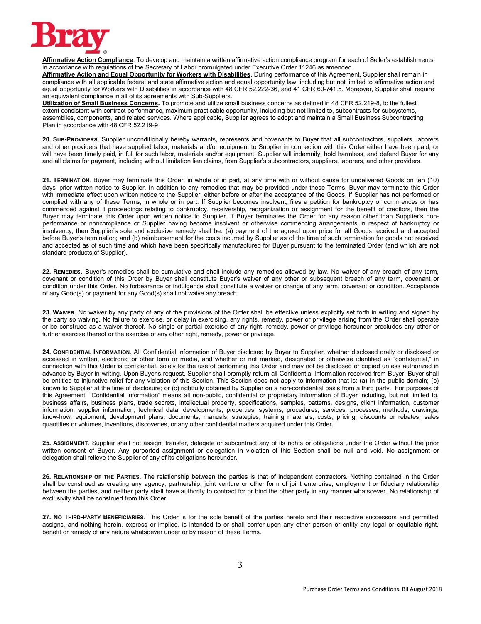

**Affirmative Action Compliance**. To develop and maintain a written affirmative action compliance program for each of Seller's establishments in accordance with regulations of the Secretary of Labor promulgated under Executive Order 11246 as amended.

**Affirmative Action and Equal Opportunity for Workers with Disabilities**. During performance of this Agreement, Supplier shall remain in compliance with all applicable federal and state affirmative action and equal opportunity law, including but not limited to affirmative action and equal opportunity for Workers with Disabilities in accordance with 48 CFR 52.222-36, and 41 CFR 60-741.5. Moreover, Supplier shall require an equivalent compliance in all of its agreements with Sub-Suppliers.

**Utilization of Small Business Concerns.** To promote and utilize small business concerns as defined in 48 CFR 52.219-8, to the fullest extent consistent with contract performance, maximum practicable opportunity, including but not limited to, subcontracts for subsystems, assemblies, components, and related services. Where applicable, Supplier agrees to adopt and maintain a Small Business Subcontracting Plan in accordance with 48 CFR 52.219-9

**20. SUB-PROVIDERS**. Supplier unconditionally hereby warrants, represents and covenants to Buyer that all subcontractors, suppliers, laborers and other providers that have supplied labor, materials and/or equipment to Supplier in connection with this Order either have been paid, or will have been timely paid, in full for such labor, materials and/or equipment. Supplier will indemnify, hold harmless, and defend Buyer for any and all claims for payment, including without limitation lien claims, from Supplier's subcontractors, suppliers, laborers, and other providers.

**21. TERMINATION**. Buyer may terminate this Order, in whole or in part, at any time with or without cause for undelivered Goods on ten (10) days' prior written notice to Supplier. In addition to any remedies that may be provided under these Terms, Buyer may terminate this Order with immediate effect upon written notice to the Supplier, either before or after the acceptance of the Goods, if Supplier has not performed or complied with any of these Terms, in whole or in part. If Supplier becomes insolvent, files a petition for bankruptcy or commences or has commenced against it proceedings relating to bankruptcy, receivership, reorganization or assignment for the benefit of creditors, then the Buyer may terminate this Order upon written notice to Supplier. If Buyer terminates the Order for any reason other than Supplier's nonperformance or noncompliance or Supplier having become insolvent or otherwise commencing arrangements in respect of bankruptcy or insolvency, then Supplier's sole and exclusive remedy shall be: (a) payment of the agreed upon price for all Goods received and accepted before Buyer's termination; and (b) reimbursement for the costs incurred by Supplier as of the time of such termination for goods not received and accepted as of such time and which have been specifically manufactured for Buyer pursuant to the terminated Order (and which are not standard products of Supplier).

**22. REMEDIES.** Buyer's remedies shall be cumulative and shall include any remedies allowed by law. No waiver of any breach of any term, covenant or condition of this Order by Buyer shall constitute Buyer's waiver of any other or subsequent breach of any term, covenant or condition under this Order. No forbearance or indulgence shall constitute a waiver or change of any term, covenant or condition. Acceptance of any Good(s) or payment for any Good(s) shall not waive any breach.

**23. WAIVER**. No waiver by any party of any of the provisions of the Order shall be effective unless explicitly set forth in writing and signed by the party so waiving. No failure to exercise, or delay in exercising, any rights, remedy, power or privilege arising from the Order shall operate or be construed as a waiver thereof. No single or partial exercise of any right, remedy, power or privilege hereunder precludes any other or further exercise thereof or the exercise of any other right, remedy, power or privilege.

**24. CONFIDENTIAL INFORMATION**. All Confidential Information of Buyer disclosed by Buyer to Supplier, whether disclosed orally or disclosed or accessed in written, electronic or other form or media, and whether or not marked, designated or otherwise identified as "confidential," in connection with this Order is confidential, solely for the use of performing this Order and may not be disclosed or copied unless authorized in advance by Buyer in writing. Upon Buyer's request, Supplier shall promptly return all Confidential Information received from Buyer. Buyer shall be entitled to injunctive relief for any violation of this Section. This Section does not apply to information that is: (a) in the public domain; (b) known to Supplier at the time of disclosure; or (c) rightfully obtained by Supplier on a non-confidential basis from a third party. For purposes of this Agreement, "Confidential Information" means all non-public, confidential or proprietary information of Buyer including, but not limited to, business affairs, business plans, trade secrets, intellectual property, specifications, samples, patterns, designs, client information, customer information, supplier information, technical data, developments, properties, systems, procedures, services, processes, methods, drawings, know-how, equipment, development plans, documents, manuals, strategies, training materials, costs, pricing, discounts or rebates, sales quantities or volumes, inventions, discoveries, or any other confidential matters acquired under this Order.

**25. ASSIGNMENT**. Supplier shall not assign, transfer, delegate or subcontract any of its rights or obligations under the Order without the prior written consent of Buyer. Any purported assignment or delegation in violation of this Section shall be null and void. No assignment or delegation shall relieve the Supplier of any of its obligations hereunder.

**26. RELATIONSHIP OF THE PARTIES**. The relationship between the parties is that of independent contractors. Nothing contained in the Order shall be construed as creating any agency, partnership, joint venture or other form of joint enterprise, employment or fiduciary relationship between the parties, and neither party shall have authority to contract for or bind the other party in any manner whatsoever. No relationship of exclusivity shall be construed from this Order.

**27. NO THIRD-PARTY BENEFICIARIES**. This Order is for the sole benefit of the parties hereto and their respective successors and permitted assigns, and nothing herein, express or implied, is intended to or shall confer upon any other person or entity any legal or equitable right, benefit or remedy of any nature whatsoever under or by reason of these Terms.